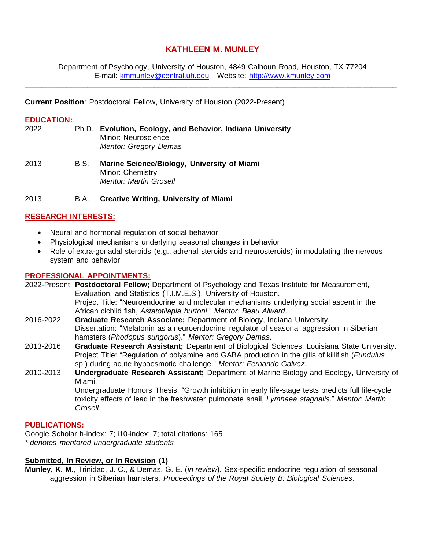# **KATHLEEN M. MUNLEY**

Department of Psychology, University of Houston, 4849 Calhoun Road, Houston, TX 77204 E-mail: [kmmunley@central.uh.edu](mailto:kmmunley@central.uh.edu) | Website: [http://www.kmunley.com](http://www.kmunley.com/)

**\_\_\_\_\_\_\_\_\_\_\_\_\_\_\_\_\_\_\_\_\_\_\_\_\_\_\_\_\_\_\_\_\_\_\_\_\_\_\_\_\_\_\_\_\_\_\_\_\_\_\_\_\_\_\_\_\_\_\_\_\_\_\_\_\_\_\_\_\_\_\_\_\_\_\_\_\_\_\_\_\_\_\_\_\_\_\_\_**

**Current Position**: Postdoctoral Fellow, University of Houston (2022-Present)

# **EDUCATION:**

- 2022 Ph.D. **Evolution, Ecology, and Behavior, Indiana University** Minor: Neuroscience *Mentor: Gregory Demas*
- 2013 B.S. **Marine Science/Biology, University of Miami** Minor: Chemistry *Mentor: Martin Grosell*

#### 2013 B.A. **Creative Writing, University of Miami**

# **RESEARCH INTERESTS:**

- Neural and hormonal regulation of social behavior
- Physiological mechanisms underlying seasonal changes in behavior
- Role of extra-gonadal steroids (e.g., adrenal steroids and neurosteroids) in modulating the nervous system and behavior

#### **PROFESSIONAL APPOINTMENTS:**

2022-Present **Postdoctoral Fellow;** Department of Psychology and Texas Institute for Measurement, Evaluation, and Statistics (T.I.M.E.S.), University of Houston. Project Title: "Neuroendocrine and molecular mechanisms underlying social ascent in the African cichlid fish, *Astatotilapia burtoni*." *Mentor: Beau Alward*.

2016-2022 **Graduate Research Associate;** Department of Biology, Indiana University. Dissertation: "Melatonin as a neuroendocrine regulator of seasonal aggression in Siberian hamsters (*Phodopus sungorus*)." *Mentor: Gregory Demas*.

- 2013-2016 **Graduate Research Assistant;** Department of Biological Sciences, Louisiana State University. Project Title: "Regulation of polyamine and GABA production in the gills of killifish (*Fundulus*  sp.) during acute hypoosmotic challenge." *Mentor: Fernando Galvez*.
- 2010-2013 **Undergraduate Research Assistant;** Department of Marine Biology and Ecology, University of Miami. Undergraduate Honors Thesis: "Growth inhibition in early life-stage tests predicts full life-cycle toxicity effects of lead in the freshwater pulmonate snail, *Lymnaea stagnalis*." *Mentor: Martin Grosell*.

#### **PUBLICATIONS:**

Google Scholar h-index: 7; i10-index: 7; total citations: 165 *\* denotes mentored undergraduate students*

# **Submitted, In Review, or In Revision (1)**

**Munley, K. M.**, Trinidad, J. C., & Demas, G. E. (*in review*). Sex-specific endocrine regulation of seasonal aggression in Siberian hamsters. *Proceedings of the Royal Society B: Biological Sciences*.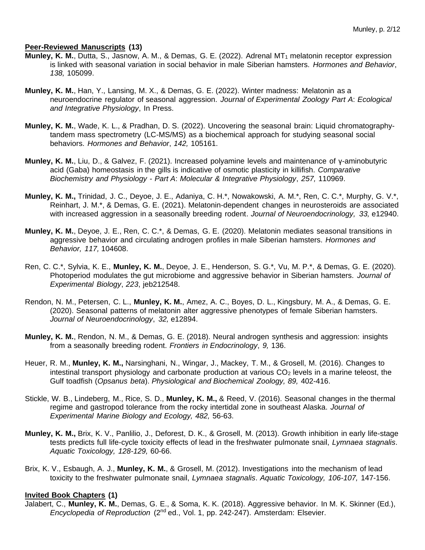#### **Peer-Reviewed Manuscripts (13)**

- Munley, K. M., Dutta, S., Jasnow, A. M., & Demas, G. E. (2022). Adrenal MT<sub>1</sub> melatonin receptor expression is linked with seasonal variation in social behavior in male Siberian hamsters. *Hormones and Behavior*, *138,* 105099.
- **Munley, K. M.**, Han, Y., Lansing, M. X., & Demas, G. E. (2022). Winter madness: Melatonin as a neuroendocrine regulator of seasonal aggression. *Journal of Experimental Zoology Part A*: *Ecological and Integrative Physiology*, In Press.
- **Munley, K. M.**, Wade, K. L., & Pradhan, D. S. (2022). Uncovering the seasonal brain: Liquid chromatographytandem mass spectrometry (LC-MS/MS) as a biochemical approach for studying seasonal social behaviors. *Hormones and Behavior*, *142,* 105161.
- **Munley, K. M.**, Liu, D., & Galvez, F. (2021). Increased polyamine levels and maintenance of γ-aminobutyric acid (Gaba) homeostasis in the gills is indicative of osmotic plasticity in killifish. *Comparative Biochemistry and Physiology - Part A*: *Molecular & Integrative Physiology*, *257,* 110969.
- **Munley, K. M.,** Trinidad, J. C., Deyoe, J. E., Adaniya, C. H.\*, Nowakowski, A. M.\*, Ren, C. C.\*, Murphy, G. V.\*, Reinhart, J. M.\*, & Demas, G. E. (2021). Melatonin-dependent changes in neurosteroids are associated with increased aggression in a seasonally breeding rodent. *Journal of Neuroendocrinology, 33,* e12940.
- **Munley, K. M.**, Deyoe, J. E., Ren, C. C.\*, & Demas, G. E. (2020). Melatonin mediates seasonal transitions in aggressive behavior and circulating androgen profiles in male Siberian hamsters. *Hormones and Behavior, 117,* 104608.
- Ren, C. C.\*, Sylvia, K. E., **Munley, K. M.**, Deyoe, J. E., Henderson, S. G.\*, Vu, M. P.\*, & Demas, G. E. (2020). Photoperiod modulates the gut microbiome and aggressive behavior in Siberian hamsters. *Journal of Experimental Biology*, *223*, jeb212548.
- Rendon, N. M., Petersen, C. L., **Munley, K. M.**, Amez, A. C., Boyes, D. L., Kingsbury, M. A., & Demas, G. E. (2020). Seasonal patterns of melatonin alter aggressive phenotypes of female Siberian hamsters. *Journal of Neuroendocrinology*, *32,* e12894.
- **Munley, K. M.**, Rendon, N. M., & Demas, G. E. (2018). Neural androgen synthesis and aggression: insights from a seasonally breeding rodent. *Frontiers in Endocrinology*, *9,* 136.
- Heuer, R. M., **Munley, K. M.,** Narsinghani, N., Wingar, J., Mackey, T. M., & Grosell, M. (2016). Changes to intestinal transport physiology and carbonate production at various  $CO<sub>2</sub>$  levels in a marine teleost, the Gulf toadfish (*Opsanus beta*). *Physiological and Biochemical Zoology, 89,* 402-416.
- Stickle, W. B., Lindeberg, M., Rice, S. D., **Munley, K. M.,** & Reed, V. (2016). Seasonal changes in the thermal regime and gastropod tolerance from the rocky intertidal zone in southeast Alaska. *Journal of Experimental Marine Biology and Ecology, 482,* 56-63.
- **Munley, K. M.,** Brix, K. V., Panlilio, J., Deforest, D. K., & Grosell, M. (2013). Growth inhibition in early life-stage tests predicts full life-cycle toxicity effects of lead in the freshwater pulmonate snail, *Lymnaea stagnalis*. *Aquatic Toxicology, 128-129,* 60-66.
- Brix, K. V., Esbaugh, A. J., **Munley, K. M.**, & Grosell, M. (2012). Investigations into the mechanism of lead toxicity to the freshwater pulmonate snail, *Lymnaea stagnalis*. *Aquatic Toxicology, 106-107,* 147-156.

# **Invited Book Chapters (1)**

Jalabert, C., **Munley, K. M.**, Demas, G. E., & Soma, K. K. (2018). Aggressive behavior. In M. K. Skinner (Ed.), *Encyclopedia of Reproduction* (2nd ed., Vol. 1, pp. 242-247). Amsterdam: Elsevier.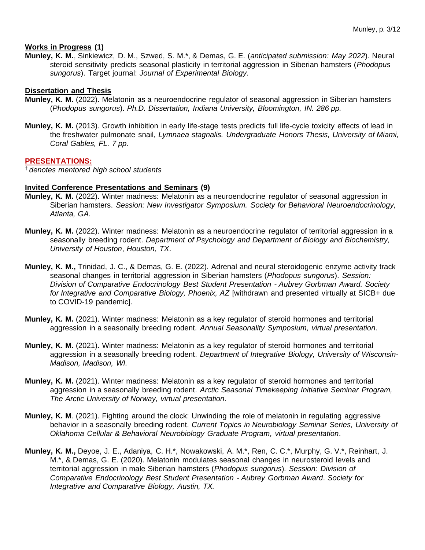#### **Works in Progress (1)**

**Munley, K. M.**, Sinkiewicz, D. M., Szwed, S. M.\*, & Demas, G. E. (*anticipated submission: May 2022*). Neural steroid sensitivity predicts seasonal plasticity in territorial aggression in Siberian hamsters (*Phodopus sungorus*). Target journal: *Journal of Experimental Biology*.

#### **Dissertation and Thesis**

- **Munley, K. M.** (2022). Melatonin as a neuroendocrine regulator of seasonal aggression in Siberian hamsters (*Phodopus sungorus*). *Ph.D. Dissertation, Indiana University, Bloomington, IN. 286 pp.*
- **Munley, K. M.** (2013). Growth inhibition in early life-stage tests predicts full life-cycle toxicity effects of lead in the freshwater pulmonate snail, *Lymnaea stagnalis. Undergraduate Honors Thesis, University of Miami, Coral Gables, FL. 7 pp.*

#### **PRESENTATIONS:**

† *denotes mentored high school students*

#### **Invited Conference Presentations and Seminars (9)**

- **Munley, K. M.** (2022). Winter madness: Melatonin as a neuroendocrine regulator of seasonal aggression in Siberian hamsters. *Session: New Investigator Symposium. Society for Behavioral Neuroendocrinology, Atlanta, GA.*
- **Munley, K. M.** (2022). Winter madness: Melatonin as a neuroendocrine regulator of territorial aggression in a seasonally breeding rodent. *Department of Psychology and Department of Biology and Biochemistry, University of Houston*, *Houston, TX*.
- **Munley, K. M.,** Trinidad, J. C., & Demas, G. E. (2022). Adrenal and neural steroidogenic enzyme activity track seasonal changes in territorial aggression in Siberian hamsters (*Phodopus sungorus*). *Session: Division of Comparative Endocrinology Best Student Presentation - Aubrey Gorbman Award. Society for Integrative and Comparative Biology, Phoenix, AZ* [withdrawn and presented virtually at SICB+ due to COVID-19 pandemic].
- **Munley, K. M.** (2021). Winter madness: Melatonin as a key regulator of steroid hormones and territorial aggression in a seasonally breeding rodent. *Annual Seasonality Symposium, virtual presentation*.
- **Munley, K. M.** (2021). Winter madness: Melatonin as a key regulator of steroid hormones and territorial aggression in a seasonally breeding rodent. *Department of Integrative Biology, University of Wisconsin-Madison, Madison, WI.*
- **Munley, K. M.** (2021). Winter madness: Melatonin as a key regulator of steroid hormones and territorial aggression in a seasonally breeding rodent. *Arctic Seasonal Timekeeping Initiative Seminar Program, The Arctic University of Norway, virtual presentation*.
- **Munley, K. M**. (2021). Fighting around the clock: Unwinding the role of melatonin in regulating aggressive behavior in a seasonally breeding rodent. *Current Topics in Neurobiology Seminar Series, University of Oklahoma Cellular & Behavioral Neurobiology Graduate Program, virtual presentation*.
- **Munley, K. M.,** Deyoe, J. E., Adaniya, C. H.\*, Nowakowski, A. M.\*, Ren, C. C.\*, Murphy, G. V.\*, Reinhart, J. M.\*, & Demas, G. E. (2020). Melatonin modulates seasonal changes in neurosteroid levels and territorial aggression in male Siberian hamsters (*Phodopus sungorus*)*. Session: Division of Comparative Endocrinology Best Student Presentation - Aubrey Gorbman Award*. *Society for Integrative and Comparative Biology, Austin, TX.*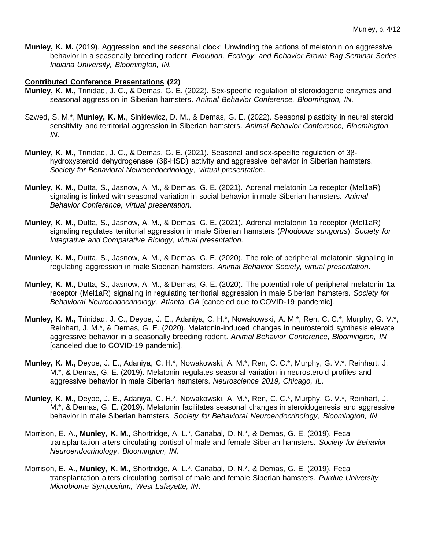**Munley, K. M.** (2019). Aggression and the seasonal clock: Unwinding the actions of melatonin on aggressive behavior in a seasonally breeding rodent. *Evolution, Ecology, and Behavior Brown Bag Seminar Series, Indiana University, Bloomington, IN.*

#### **Contributed Conference Presentations (22)**

- **Munley, K. M.,** Trinidad, J. C., & Demas, G. E. (2022). Sex-specific regulation of steroidogenic enzymes and seasonal aggression in Siberian hamsters. *Animal Behavior Conference, Bloomington, IN.*
- Szwed, S. M.\*, **Munley, K. M.**, Sinkiewicz, D. M., & Demas, G. E. (2022). Seasonal plasticity in neural steroid sensitivity and territorial aggression in Siberian hamsters. *Animal Behavior Conference, Bloomington, IN.*
- **Munley, K. M.,** Trinidad, J. C., & Demas, G. E. (2021). Seasonal and sex-specific regulation of 3βhydroxysteroid dehydrogenase (3β-HSD) activity and aggressive behavior in Siberian hamsters. *Society for Behavioral Neuroendocrinology, virtual presentation*.
- **Munley, K. M.,** Dutta, S., Jasnow, A. M., & Demas, G. E. (2021). Adrenal melatonin 1a receptor (Mel1aR) signaling is linked with seasonal variation in social behavior in male Siberian hamsters. *Animal Behavior Conference, virtual presentation.*
- **Munley, K. M.,** Dutta, S., Jasnow, A. M., & Demas, G. E. (2021). Adrenal melatonin 1a receptor (Mel1aR) signaling regulates territorial aggression in male Siberian hamsters (*Phodopus sungorus*). *Society for Integrative and Comparative Biology, virtual presentation.*
- **Munley, K. M.,** Dutta, S., Jasnow, A. M., & Demas, G. E. (2020). The role of peripheral melatonin signaling in regulating aggression in male Siberian hamsters. *Animal Behavior Society, virtual presentation*.
- **Munley, K. M.,** Dutta, S., Jasnow, A. M., & Demas, G. E. (2020). The potential role of peripheral melatonin 1a receptor (Mel1aR) signaling in regulating territorial aggression in male Siberian hamsters. *Society for Behavioral Neuroendocrinology, Atlanta, GA* [canceled due to COVID-19 pandemic].
- **Munley, K. M.,** Trinidad, J. C., Deyoe, J. E., Adaniya, C. H.\*, Nowakowski, A. M.\*, Ren, C. C.\*, Murphy, G. V.\*, Reinhart, J. M.\*, & Demas, G. E. (2020). Melatonin-induced changes in neurosteroid synthesis elevate aggressive behavior in a seasonally breeding rodent. *Animal Behavior Conference, Bloomington, IN*  [canceled due to COVID-19 pandemic].
- **Munley, K. M.,** Deyoe, J. E., Adaniya, C. H.\*, Nowakowski, A. M.\*, Ren, C. C.\*, Murphy, G. V.\*, Reinhart, J. M.\*, & Demas, G. E. (2019). Melatonin regulates seasonal variation in neurosteroid profiles and aggressive behavior in male Siberian hamsters. *Neuroscience 2019, Chicago, IL*.
- **Munley, K. M.,** Deyoe, J. E., Adaniya, C. H.\*, Nowakowski, A. M.\*, Ren, C. C.\*, Murphy, G. V.\*, Reinhart, J. M.\*, & Demas, G. E. (2019). Melatonin facilitates seasonal changes in steroidogenesis and aggressive behavior in male Siberian hamsters. *Society for Behavioral Neuroendocrinology, Bloomington, IN*.
- Morrison, E. A., **Munley, K. M.**, Shortridge, A. L.\*, Canabal, D. N.\*, & Demas, G. E. (2019). Fecal transplantation alters circulating cortisol of male and female Siberian hamsters. *Society for Behavior Neuroendocrinology*, *Bloomington, IN*.
- Morrison, E. A., **Munley, K. M.**, Shortridge, A. L.\*, Canabal, D. N.\*, & Demas, G. E. (2019). Fecal transplantation alters circulating cortisol of male and female Siberian hamsters. *Purdue University Microbiome Symposium, West Lafayette, IN*.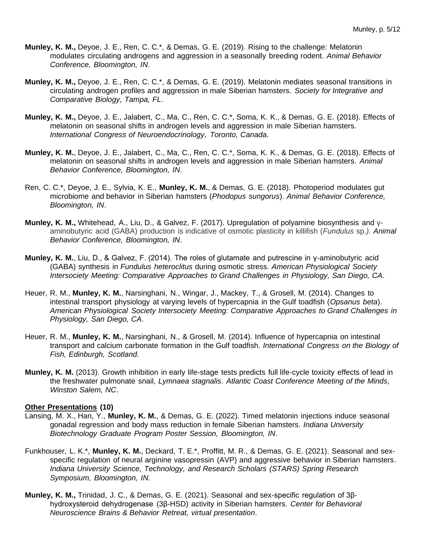- **Munley, K. M.,** Deyoe, J. E., Ren, C. C.\*, & Demas, G. E. (2019). Rising to the challenge: Melatonin modulates circulating androgens and aggression in a seasonally breeding rodent. *Animal Behavior Conference, Bloomington, IN*.
- **Munley, K. M.,** Deyoe, J. E., Ren, C. C.\*, & Demas, G. E. (2019). Melatonin mediates seasonal transitions in circulating androgen profiles and aggression in male Siberian hamsters. *Society for Integrative and Comparative Biology, Tampa, FL*.
- **Munley, K. M.,** Deyoe, J. E., Jalabert, C., Ma, C., Ren, C. C.\*, Soma, K. K., & Demas, G. E. (2018). Effects of melatonin on seasonal shifts in androgen levels and aggression in male Siberian hamsters. *International Congress of Neuroendocrinology, Toronto, Canada*.
- **Munley, K. M.**, Deyoe, J. E., Jalabert, C., Ma, C., Ren, C. C.\*, Soma, K. K., & Demas, G. E. (2018). Effects of melatonin on seasonal shifts in androgen levels and aggression in male Siberian hamsters. *Animal Behavior Conference, Bloomington, IN*.
- Ren, C. C.\*, Deyoe, J. E., Sylvia, K. E., **Munley, K. M.**, & Demas, G. E. (2018). Photoperiod modulates gut microbiome and behavior in Siberian hamsters (*Phodopus sungorus*). *Animal Behavior Conference, Bloomington, IN*.
- **Munley, K. M.,** Whitehead, A., Liu, D., & Galvez, F. (2017). Upregulation of polyamine biosynthesis and γaminobutyric acid (GABA) production is indicative of osmotic plasticity in killifish (*Fundulus* sp.*). Animal Behavior Conference, Bloomington, IN*.
- **Munley, K. M.**, Liu, D., & Galvez, F. (2014). The roles of glutamate and putrescine in γ-aminobutyric acid (GABA) synthesis in *Fundulus heteroclitus* during osmotic stress. *American Physiological Society Intersociety Meeting: Comparative Approaches to Grand Challenges in Physiology, San Diego, CA*.
- Heuer, R. M., **Munley, K. M.**, Narsinghani, N., Wingar, J., Mackey, T., & Grosell, M. (2014). Changes to intestinal transport physiology at varying levels of hypercapnia in the Gulf toadfish (*Opsanus beta*). *American Physiological Society Intersociety Meeting: Comparative Approaches to Grand Challenges in Physiology, San Diego, CA*.
- Heuer, R. M., **Munley, K. M.**, Narsinghani, N., & Grosell, M. (2014). Influence of hypercapnia on intestinal transport and calcium carbonate formation in the Gulf toadfish. *International Congress on the Biology of Fish, Edinburgh, Scotland.*
- **Munley, K. M.** (2013). Growth inhibition in early life-stage tests predicts full life-cycle toxicity effects of lead in the freshwater pulmonate snail, *Lymnaea stagnalis*. *Atlantic Coast Conference Meeting of the Minds, Winston Salem, NC*.

#### **Other Presentations (10)**

- Lansing, M. X., Han, Y., **Munley, K. M.**, & Demas, G. E. (2022). Timed melatonin injections induce seasonal gonadal regression and body mass reduction in female Siberian hamsters*. Indiana University Biotechnology Graduate Program Poster Session, Bloomington, IN*.
- Funkhouser, L. K.\*, **Munley, K. M.**, Deckard, T. E.\*, Proffitt, M. R., & Demas, G. E. (2021). Seasonal and sexspecific regulation of neural arginine vasopressin (AVP) and aggressive behavior in Siberian hamsters. *Indiana University Science, Technology, and Research Scholars (STARS) Spring Research Symposium, Bloomington, IN.*
- **Munley, K. M.,** Trinidad, J. C., & Demas, G. E. (2021). Seasonal and sex-specific regulation of 3βhydroxysteroid dehydrogenase (3β-HSD) activity in Siberian hamsters. *Center for Behavioral Neuroscience Brains & Behavior Retreat, virtual presentation*.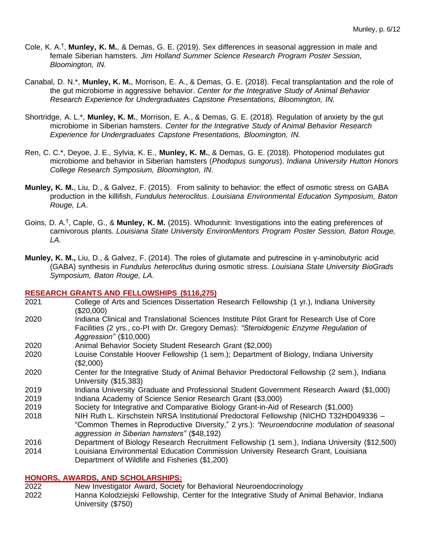- Cole, K. A.<sup>†</sup>, Munley, K. M., & Demas, G. E. (2019). Sex differences in seasonal aggression in male and female Siberian hamsters. *Jim Holland Summer Science Research Program Poster Session, Bloomington, IN.*
- Canabal, D. N.\*, **Munley, K. M.**, Morrison, E. A., & Demas, G. E. (2018). Fecal transplantation and the role of the gut microbiome in aggressive behavior. *Center for the Integrative Study of Animal Behavior Research Experience for Undergraduates Capstone Presentations, Bloomington, IN.*
- Shortridge, A. L.\*, **Munley, K. M.**, Morrison, E. A., & Demas, G. E. (2018). Regulation of anxiety by the gut microbiome in Siberian hamsters. *Center for the Integrative Study of Animal Behavior Research Experience for Undergraduates Capstone Presentations, Bloomington, IN.*
- Ren, C. C.\*, Deyoe, J. E., Sylvia, K. E., **Munley, K. M.**, & Demas, G. E. (2018). Photoperiod modulates gut microbiome and behavior in Siberian hamsters (*Phodopus sungorus*). *Indiana University Hutton Honors College Research Symposium, Bloomington, IN*.
- **Munley, K. M.**, Liu, D., & Galvez, F. (2015). From salinity to behavior: the effect of osmotic stress on GABA production in the killifish, *Fundulus heteroclitus*. *Louisiana Environmental Education Symposium, Baton Rouge, LA*.
- Goins, D. A.† , Caple, G., & **Munley, K. M.** (2015). Whodunnit: Investigations into the eating preferences of carnivorous plants. *Louisiana State University EnvironMentors Program Poster Session, Baton Rouge, LA.*
- **Munley, K. M.,** Liu, D., & Galvez, F. (2014). The roles of glutamate and putrescine in γ-aminobutyric acid (GABA) synthesis in *Fundulus heteroclitus* during osmotic stress. *Louisiana State University BioGrads Symposium, Baton Rouge, LA*.

# **RESEARCH GRANTS AND FELLOWSHIPS (\$116,275)**

- 2021 College of Arts and Sciences Dissertation Research Fellowship (1 yr.), Indiana University (\$20,000)
- 2020 Indiana Clinical and Translational Sciences Institute Pilot Grant for Research Use of Core Facilities (2 yrs., co-PI with Dr. Gregory Demas): *"Steroidogenic Enzyme Regulation of Aggression"* (\$10,000)
- 2020 Animal Behavior Society Student Research Grant (\$2,000)
- 2020 Louise Constable Hoover Fellowship (1 sem.); Department of Biology, Indiana University (\$2,000)
- 2020 Center for the Integrative Study of Animal Behavior Predoctoral Fellowship (2 sem.), Indiana University (\$15,383)
- 2019 Indiana University Graduate and Professional Student Government Research Award (\$1,000) 2019 Indiana Academy of Science Senior Research Grant (\$3,000)
- 2019 Society for Integrative and Comparative Biology Grant-in-Aid of Research (\$1,000)
- 2018 NIH Ruth L. Kirschstein NRSA Institutional Predoctoral Fellowship (NICHD T32HD049336 "Common Themes in Reproductive Diversity," 2 yrs.): *"Neuroendocrine modulation of seasonal aggression in Siberian hamsters"* (\$48,192)
- 2016 Department of Biology Research Recruitment Fellowship (1 sem.), Indiana University (\$12,500)
- 2014 Louisiana Environmental Education Commission University Research Grant, Louisiana Department of Wildlife and Fisheries (\$1,200)

#### **HONORS, AWARDS, AND SCHOLARSHIPS:**

2022 New Investigator Award, Society for Behavioral Neuroendocrinology 2022 Hanna Kolodziejski Fellowship, Center for the Integrative Study of Animal Behavior, Indiana University (\$750)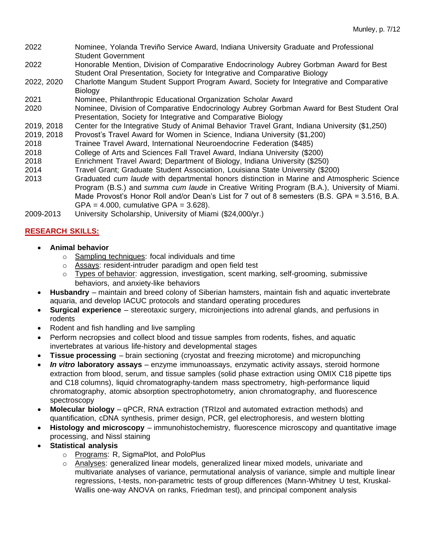- 2022 Nominee, Yolanda Treviño Service Award, Indiana University Graduate and Professional Student Government
- 2022 Honorable Mention, Division of Comparative Endocrinology Aubrey Gorbman Award for Best Student Oral Presentation, Society for Integrative and Comparative Biology
- 2022, 2020 Charlotte Mangum Student Support Program Award, Society for Integrative and Comparative **Biology**
- 2021 Nominee, Philanthropic Educational Organization Scholar Award
- 2020 Nominee, Division of Comparative Endocrinology Aubrey Gorbman Award for Best Student Oral Presentation, Society for Integrative and Comparative Biology
- 2019, 2018 Center for the Integrative Study of Animal Behavior Travel Grant, Indiana University (\$1,250)
- Provost's Travel Award for Women in Science, Indiana University (\$1,200)
- 2018 Trainee Travel Award, International Neuroendocrine Federation (\$485)
- 2018 College of Arts and Sciences Fall Travel Award, Indiana University (\$200)
- 2018 Enrichment Travel Award; Department of Biology, Indiana University (\$250)
- 2014 Travel Grant; Graduate Student Association, Louisiana State University (\$200)
- 2013 Graduated *cum laude* with departmental honors distinction in Marine and Atmospheric Science Program (B.S.) and *summa cum laude* in Creative Writing Program (B.A.), University of Miami. Made Provost's Honor Roll and/or Dean's List for 7 out of 8 semesters (B.S. GPA = 3.516, B.A.  $GPA = 4.000$ , cumulative  $GPA = 3.628$ ).
- 2009-2013 University Scholarship, University of Miami (\$24,000/yr.)

# **RESEARCH SKILLS:**

- **Animal behavior**
	- o Sampling techniques: focal individuals and time
	- o Assays: resident-intruder paradigm and open field test
	- $\circ$  Types of behavior: aggression, investigation, scent marking, self-grooming, submissive behaviors, and anxiety-like behaviors
- **Husbandry** maintain and breed colony of Siberian hamsters, maintain fish and aquatic invertebrate aquaria, and develop IACUC protocols and standard operating procedures
- **Surgical experience**  stereotaxic surgery, microinjections into adrenal glands, and perfusions in rodents
- Rodent and fish handling and live sampling
- Perform necropsies and collect blood and tissue samples from rodents, fishes, and aquatic invertebrates at various life-history and developmental stages
- **Tissue processing** brain sectioning (cryostat and freezing microtome) and micropunching
- *In vitro* **laboratory assays** enzyme immunoassays, enzymatic activity assays, steroid hormone extraction from blood, serum, and tissue samples (solid phase extraction using OMIX C18 pipette tips and C18 columns), liquid chromatography-tandem mass spectrometry, high-performance liquid chromatography, atomic absorption spectrophotometry, anion chromatography, and fluorescence spectroscopy
- **Molecular biology**  qPCR, RNA extraction (TRIzol and automated extraction methods) and quantification, cDNA synthesis, primer design, PCR, gel electrophoresis, and western blotting
- **Histology and microscopy** immunohistochemistry, fluorescence microscopy and quantitative image processing, and Nissl staining
- **Statistical analysis** 
	- o Programs: R, SigmaPlot, and PoloPlus
	- o Analyses: generalized linear models, generalized linear mixed models, univariate and multivariate analyses of variance, permutational analysis of variance, simple and multiple linear regressions, t-tests, non-parametric tests of group differences (Mann-Whitney U test, Kruskal-Wallis one-way ANOVA on ranks, Friedman test), and principal component analysis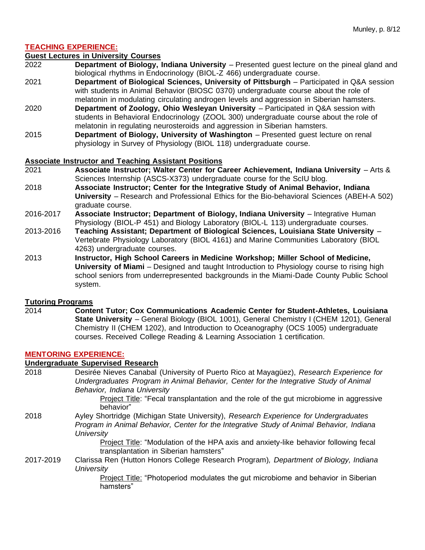# **TEACHING EXPERIENCE:**

#### **Guest Lectures in University Courses**

- 2022 **Department of Biology, Indiana University** Presented guest lecture on the pineal gland and biological rhythms in Endocrinology (BIOL-Z 466) undergraduate course.
- 2021 **Department of Biological Sciences, University of Pittsburgh** Participated in Q&A session with students in Animal Behavior (BIOSC 0370) undergraduate course about the role of melatonin in modulating circulating androgen levels and aggression in Siberian hamsters.
- 2020 **Department of Zoology, Ohio Wesleyan University** Participated in Q&A session with students in Behavioral Endocrinology (ZOOL 300) undergraduate course about the role of melatonin in regulating neurosteroids and aggression in Siberian hamsters.
- 2015 **Department of Biology, University of Washington**  Presented guest lecture on renal physiology in Survey of Physiology (BIOL 118) undergraduate course.

#### **Associate Instructor and Teaching Assistant Positions**

- 2021 **Associate Instructor; Walter Center for Career Achievement, Indiana University** Arts & Sciences Internship (ASCS-X373) undergraduate course for the ScIU blog.
- 2018 **Associate Instructor; Center for the Integrative Study of Animal Behavior, Indiana University** – Research and Professional Ethics for the Bio-behavioral Sciences (ABEH-A 502) graduate course.
- 2016-2017 **Associate Instructor; Department of Biology, Indiana University** Integrative Human Physiology (BIOL-P 451) and Biology Laboratory (BIOL-L 113) undergraduate courses.
- 2013-2016 **Teaching Assistant; Department of Biological Sciences, Louisiana State University** Vertebrate Physiology Laboratory (BIOL 4161) and Marine Communities Laboratory (BIOL 4263) undergraduate courses.
- 2013 **Instructor, High School Careers in Medicine Workshop; Miller School of Medicine, University of Miami** – Designed and taught Introduction to Physiology course to rising high school seniors from underrepresented backgrounds in the Miami-Dade County Public School system.

#### **Tutoring Programs**

2014 **Content Tutor; Cox Communications Academic Center for Student-Athletes, Louisiana State University** – General Biology (BIOL 1001), General Chemistry I (CHEM 1201), General Chemistry II (CHEM 1202), and Introduction to Oceanography (OCS 1005) undergraduate courses. Received College Reading & Learning Association 1 certification.

#### **MENTORING EXPERIENCE:**

# **Undergraduate Supervised Research**

2018 Desirée Nieves Canabal (University of Puerto Rico at Mayagüez), *Research Experience for Undergraduates Program in Animal Behavior, Center for the Integrative Study of Animal Behavior, Indiana University* Project Title: "Fecal transplantation and the role of the gut microbiome in aggressive behavior" 2018 Ayley Shortridge (Michigan State University), *Research Experience for Undergraduates Program in Animal Behavior, Center for the Integrative Study of Animal Behavior, Indiana University* Project Title: "Modulation of the HPA axis and anxiety-like behavior following fecal transplantation in Siberian hamsters" 2017-2019 Clarissa Ren (Hutton Honors College Research Program)*, Department of Biology, Indiana University* Project Title: "Photoperiod modulates the gut microbiome and behavior in Siberian

hamsters"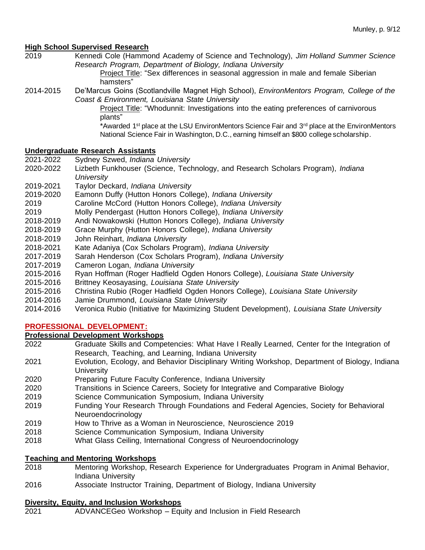# **High School Supervised Research**

2019 Kennedi Cole (Hammond Academy of Science and Technology), *Jim Holland Summer Science Research Program, Department of Biology, Indiana University*

> Project Title: "Sex differences in seasonal aggression in male and female Siberian hamsters"

2014-2015 De'Marcus Goins (Scotlandville Magnet High School), *EnvironMentors Program, College of the Coast & Environment, Louisiana State University*

Project Title: "Whodunnit: Investigations into the eating preferences of carnivorous plants"

\*Awarded 1<sup>st</sup> place at the LSU EnvironMentors Science Fair and 3<sup>rd</sup> place at the EnvironMentors National Science Fair in Washington, D.C., earning himself an \$800 college scholarship.

# **Undergraduate Research Assistants**

- 2021-2022 Sydney Szwed, *Indiana University*
- 2020-2022 Lizbeth Funkhouser (Science, Technology, and Research Scholars Program), *Indiana University*
- 2019-2021 Taylor Deckard, *Indiana University*
- 2019-2020 Eamonn Duffy (Hutton Honors College), *Indiana University*
- 2019 Caroline McCord (Hutton Honors College), *Indiana University*
- 2019 Molly Pendergast (Hutton Honors College), *Indiana University*
- 2018-2019 Andi Nowakowski (Hutton Honors College), *Indiana University*
- 2018-2019 Grace Murphy (Hutton Honors College), *Indiana University*
- 2018-2019 John Reinhart, *Indiana University*
- 2018-2021 Kate Adaniya (Cox Scholars Program), *Indiana University*
- 2017-2019 Sarah Henderson (Cox Scholars Program), *Indiana University*
- 2017-2019 Cameron Logan, *Indiana University*
- 2015-2016 Ryan Hoffman (Roger Hadfield Ogden Honors College), *Louisiana State University*
- 2015-2016 Brittney Keosayasing, *Louisiana State University*
- 2015-2016 Christina Rubio (Roger Hadfield Ogden Honors College), *Louisiana State University*
- 2014-2016 Jamie Drummond, *Louisiana State University*
- 2014-2016 Veronica Rubio (Initiative for Maximizing Student Development), *Louisiana State University*

# **PROFESSIONAL DEVELOPMENT:**

#### **Professional Development Workshops**

- 2022 Graduate Skills and Competencies: What Have I Really Learned, Center for the Integration of Research, Teaching, and Learning, Indiana University
- 2021 Evolution, Ecology, and Behavior Disciplinary Writing Workshop, Department of Biology, Indiana **University**
- 2020 Preparing Future Faculty Conference, Indiana University
- 2020 Transitions in Science Careers, Society for Integrative and Comparative Biology
- 2019 Science Communication Symposium, Indiana University
- 2019 Funding Your Research Through Foundations and Federal Agencies, Society for Behavioral Neuroendocrinology
- 2019 How to Thrive as a Woman in Neuroscience, Neuroscience 2019
- 2018 Science Communication Symposium, Indiana University
- 2018 What Glass Ceiling, International Congress of Neuroendocrinology

# **Teaching and Mentoring Workshops**

- 2018 Mentoring Workshop, Research Experience for Undergraduates Program in Animal Behavior, Indiana University
- 2016 Associate Instructor Training, Department of Biology, Indiana University

#### **Diversity, Equity, and Inclusion Workshops**

2021 ADVANCEGeo Workshop – Equity and Inclusion in Field Research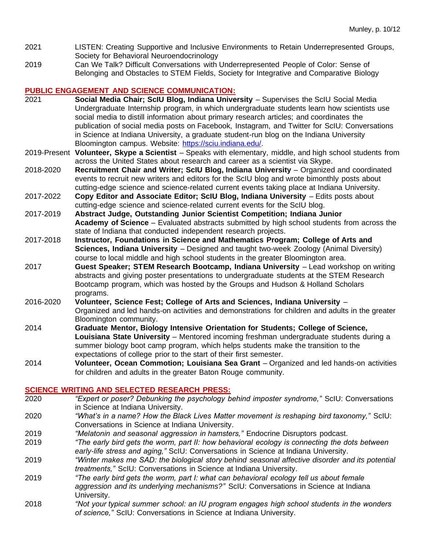- 2021 LISTEN: Creating Supportive and Inclusive Environments to Retain Underrepresented Groups, Society for Behavioral Neuroendocrinology
- 2019 Can We Talk? Difficult Conversations with Underrepresented People of Color: Sense of Belonging and Obstacles to STEM Fields, Society for Integrative and Comparative Biology

# **PUBLIC ENGAGEMENT AND SCIENCE COMMUNICATION:**<br>2021 **Construent Social Media Chair: ScIU Blog. Indiana University**

- **Social Media Chair; ScIU Blog, Indiana University** Supervises the ScIU Social Media Undergraduate Internship program, in which undergraduate students learn how scientists use social media to distill information about primary research articles; and coordinates the publication of social media posts on Facebook, Instagram, and Twitter for ScIU: Conversations in Science at Indiana University, a graduate student-run blog on the Indiana University Bloomington campus. Website: [https://sciu.indiana.edu/.](https://sciu.indiana.edu/)
- 2019-Present **Volunteer, Skype a Scientist**  Speaks with elementary, middle, and high school students from across the United States about research and career as a scientist via Skype.
- 2018-2020 **Recruitment Chair and Writer; ScIU Blog, Indiana University** Organized and coordinated events to recruit new writers and editors for the ScIU blog and wrote bimonthly posts about cutting-edge science and science-related current events taking place at Indiana University.
- 2017-2022 **Copy Editor and Associate Editor; ScIU Blog, Indiana University**  Edits posts about cutting-edge science and science-related current events for the ScIU blog.
- 2017-2019 **Abstract Judge, Outstanding Junior Scientist Competition; Indiana Junior Academy of Science** – Evaluated abstracts submitted by high school students from across the state of Indiana that conducted independent research projects.
- 2017-2018 **Instructor, Foundations in Science and Mathematics Program; College of Arts and Sciences, Indiana University** – Designed and taught two-week Zoology (Animal Diversity) course to local middle and high school students in the greater Bloomington area.
- 2017 **Guest Speaker; STEM Research Bootcamp, Indiana University**  Lead workshop on writing abstracts and giving poster presentations to undergraduate students at the STEM Research Bootcamp program, which was hosted by the Groups and Hudson & Holland Scholars programs.
- 2016-2020 **Volunteer, Science Fest; College of Arts and Sciences, Indiana University** Organized and led hands-on activities and demonstrations for children and adults in the greater Bloomington community.
- 2014 **Graduate Mentor, Biology Intensive Orientation for Students; College of Science, Louisiana State University** – Mentored incoming freshman undergraduate students during a summer biology boot camp program, which helps students make the transition to the expectations of college prior to the start of their first semester.
- 2014 **Volunteer, Ocean Commotion; Louisiana Sea Grant** Organized and led hands-on activities for children and adults in the greater Baton Rouge community.

# **SCIENCE WRITING AND SELECTED RESEARCH PRESS:**

- 2020 *"Expert or poser? Debunking the psychology behind imposter syndrome,"* ScIU: Conversations in Science at Indiana University.
- 2020 *"What's in a name? How the Black Lives Matter movement is reshaping bird taxonomy,"* ScIU: Conversations in Science at Indiana University.
- 2019 *"Melatonin and seasonal aggression in hamsters,"* Endocrine Disruptors podcast.
- 2019 *"The early bird gets the worm, part II: how behavioral ecology is connecting the dots between early-life stress and aging,"* ScIU: Conversations in Science at Indiana University.
- 2019 *"Winter makes me SAD: the biological story behind seasonal affective disorder and its potential treatments,"* ScIU: Conversations in Science at Indiana University.
- 2019 *"The early bird gets the worm, part I: what can behavioral ecology tell us about female aggression and its underlying mechanisms?"* ScIU: Conversations in Science at Indiana University.
- 2018 *"Not your typical summer school: an IU program engages high school students in the wonders of science,"* ScIU: Conversations in Science at Indiana University.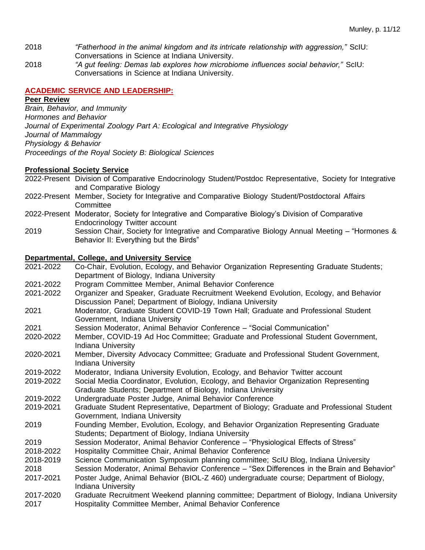- 2018 *"Fatherhood in the animal kingdom and its intricate relationship with aggression,"* ScIU: Conversations in Science at Indiana University.
- 2018 *"A gut feeling: Demas lab explores how microbiome influences social behavior,"* ScIU: Conversations in Science at Indiana University.

# **ACADEMIC SERVICE AND LEADERSHIP:**

# **Peer Review**

*Brain, Behavior, and Immunity Hormones and Behavior Journal of Experimental Zoology Part A: Ecological and Integrative Physiology Journal of Mammalogy Physiology & Behavior Proceedings of the Royal Society B: Biological Sciences*

# **Professional Society Service**

- 2022-Present Division of Comparative Endocrinology Student/Postdoc Representative, Society for Integrative and Comparative Biology
- 2022-Present Member, Society for Integrative and Comparative Biology Student/Postdoctoral Affairs **Committee**
- 2022-Present Moderator, Society for Integrative and Comparative Biology's Division of Comparative Endocrinology Twitter account
- 2019 Session Chair, Society for Integrative and Comparative Biology Annual Meeting "Hormones & Behavior II: Everything but the Birds"

# **Departmental, College, and University Service**

| 2021-2022 | Co-Chair, Evolution, Ecology, and Behavior Organization Representing Graduate Students;     |
|-----------|---------------------------------------------------------------------------------------------|
|           | Department of Biology, Indiana University                                                   |
| 2021-2022 | Program Committee Member, Animal Behavior Conference                                        |
| 2021-2022 | Organizer and Speaker, Graduate Recruitment Weekend Evolution, Ecology, and Behavior        |
|           | Discussion Panel; Department of Biology, Indiana University                                 |
| 2021      | Moderator, Graduate Student COVID-19 Town Hall; Graduate and Professional Student           |
|           | Government, Indiana University                                                              |
| 2021      | Session Moderator, Animal Behavior Conference - "Social Communication"                      |
| 2020-2022 | Member, COVID-19 Ad Hoc Committee; Graduate and Professional Student Government,            |
|           | <b>Indiana University</b>                                                                   |
| 2020-2021 | Member, Diversity Advocacy Committee; Graduate and Professional Student Government,         |
|           | Indiana University                                                                          |
| 2019-2022 | Moderator, Indiana University Evolution, Ecology, and Behavior Twitter account              |
| 2019-2022 | Social Media Coordinator, Evolution, Ecology, and Behavior Organization Representing        |
|           | Graduate Students; Department of Biology, Indiana University                                |
| 2019-2022 | Undergraduate Poster Judge, Animal Behavior Conference                                      |
| 2019-2021 | Graduate Student Representative, Department of Biology; Graduate and Professional Student   |
|           | Government, Indiana University                                                              |
| 2019      | Founding Member, Evolution, Ecology, and Behavior Organization Representing Graduate        |
|           | Students; Department of Biology, Indiana University                                         |
| 2019      | Session Moderator, Animal Behavior Conference - "Physiological Effects of Stress"           |
| 2018-2022 | Hospitality Committee Chair, Animal Behavior Conference                                     |
| 2018-2019 | Science Communication Symposium planning committee; ScIU Blog, Indiana University           |
| 2018      | Session Moderator, Animal Behavior Conference - "Sex Differences in the Brain and Behavior" |
| 2017-2021 | Poster Judge, Animal Behavior (BIOL-Z 460) undergraduate course; Department of Biology,     |
|           | <b>Indiana University</b>                                                                   |
| 2017-2020 | Graduate Recruitment Weekend planning committee; Department of Biology, Indiana University  |
| 2017      | Hospitality Committee Member, Animal Behavior Conference                                    |
|           |                                                                                             |